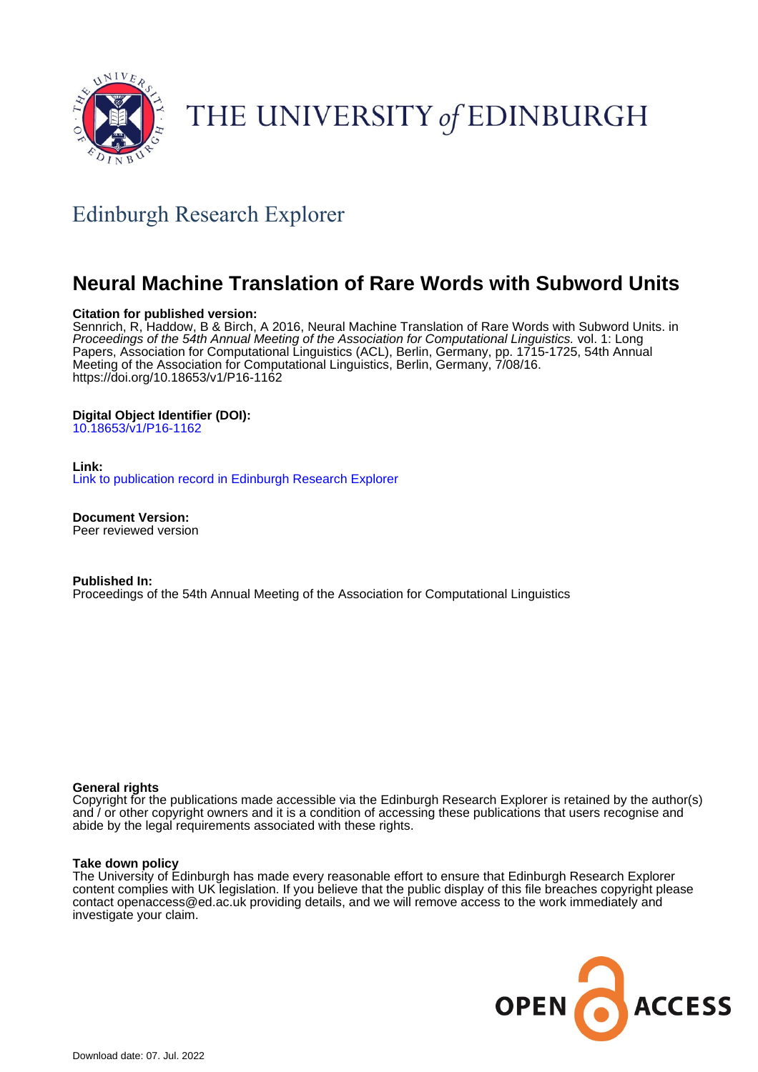

# THE UNIVERSITY of EDINBURGH

# Edinburgh Research Explorer

# **Neural Machine Translation of Rare Words with Subword Units**

# **Citation for published version:**

Sennrich, R, Haddow, B & Birch, A 2016, Neural Machine Translation of Rare Words with Subword Units. in Proceedings of the 54th Annual Meeting of the Association for Computational Linguistics. vol. 1: Long Papers, Association for Computational Linguistics (ACL), Berlin, Germany, pp. 1715-1725, 54th Annual Meeting of the Association for Computational Linguistics, Berlin, Germany, 7/08/16. <https://doi.org/10.18653/v1/P16-1162>

# **Digital Object Identifier (DOI):**

[10.18653/v1/P16-1162](https://doi.org/10.18653/v1/P16-1162)

**Link:**

[Link to publication record in Edinburgh Research Explorer](https://www.research.ed.ac.uk/en/publications/cf383399-0ea9-4185-9d2a-e3d163e04809)

**Document Version:** Peer reviewed version

**Published In:** Proceedings of the 54th Annual Meeting of the Association for Computational Linguistics

## **General rights**

Copyright for the publications made accessible via the Edinburgh Research Explorer is retained by the author(s) and / or other copyright owners and it is a condition of accessing these publications that users recognise and abide by the legal requirements associated with these rights.

#### **Take down policy**

The University of Edinburgh has made every reasonable effort to ensure that Edinburgh Research Explorer content complies with UK legislation. If you believe that the public display of this file breaches copyright please contact openaccess@ed.ac.uk providing details, and we will remove access to the work immediately and investigate your claim.

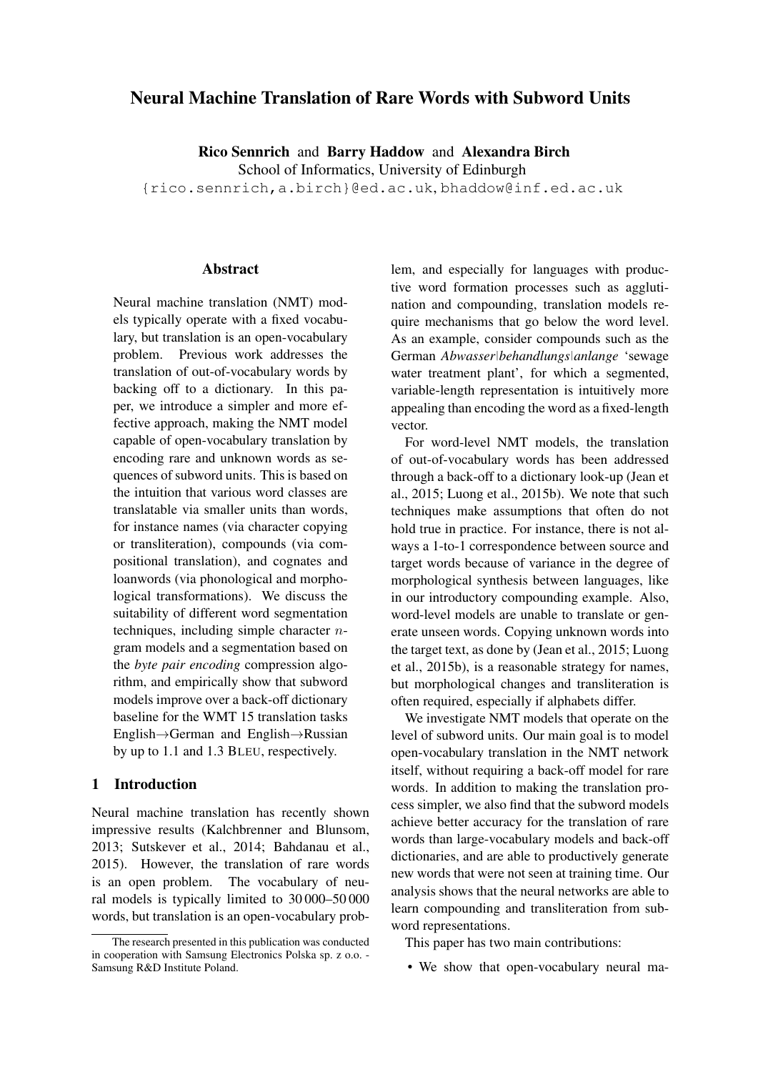# Neural Machine Translation of Rare Words with Subword Units

Rico Sennrich and Barry Haddow and Alexandra Birch

School of Informatics, University of Edinburgh

{rico.sennrich,a.birch}@ed.ac.uk, bhaddow@inf.ed.ac.uk

## Abstract

Neural machine translation (NMT) models typically operate with a fixed vocabulary, but translation is an open-vocabulary problem. Previous work addresses the translation of out-of-vocabulary words by backing off to a dictionary. In this paper, we introduce a simpler and more effective approach, making the NMT model capable of open-vocabulary translation by encoding rare and unknown words as sequences of subword units. This is based on the intuition that various word classes are translatable via smaller units than words, for instance names (via character copying or transliteration), compounds (via compositional translation), and cognates and loanwords (via phonological and morphological transformations). We discuss the suitability of different word segmentation techniques, including simple character  $n$ gram models and a segmentation based on the *byte pair encoding* compression algorithm, and empirically show that subword models improve over a back-off dictionary baseline for the WMT 15 translation tasks English→German and English→Russian by up to 1.1 and 1.3 BLEU, respectively.

# 1 Introduction

Neural machine translation has recently shown impressive results (Kalchbrenner and Blunsom, 2013; Sutskever et al., 2014; Bahdanau et al., 2015). However, the translation of rare words is an open problem. The vocabulary of neural models is typically limited to 30 000–50 000 words, but translation is an open-vocabulary problem, and especially for languages with productive word formation processes such as agglutination and compounding, translation models require mechanisms that go below the word level. As an example, consider compounds such as the German *Abwasser|behandlungs|anlange* 'sewage water treatment plant', for which a segmented, variable-length representation is intuitively more appealing than encoding the word as a fixed-length vector.

For word-level NMT models, the translation of out-of-vocabulary words has been addressed through a back-off to a dictionary look-up (Jean et al., 2015; Luong et al., 2015b). We note that such techniques make assumptions that often do not hold true in practice. For instance, there is not always a 1-to-1 correspondence between source and target words because of variance in the degree of morphological synthesis between languages, like in our introductory compounding example. Also, word-level models are unable to translate or generate unseen words. Copying unknown words into the target text, as done by (Jean et al., 2015; Luong et al., 2015b), is a reasonable strategy for names, but morphological changes and transliteration is often required, especially if alphabets differ.

We investigate NMT models that operate on the level of subword units. Our main goal is to model open-vocabulary translation in the NMT network itself, without requiring a back-off model for rare words. In addition to making the translation process simpler, we also find that the subword models achieve better accuracy for the translation of rare words than large-vocabulary models and back-off dictionaries, and are able to productively generate new words that were not seen at training time. Our analysis shows that the neural networks are able to learn compounding and transliteration from subword representations.

This paper has two main contributions:

• We show that open-vocabulary neural ma-

The research presented in this publication was conducted in cooperation with Samsung Electronics Polska sp. z o.o. - Samsung R&D Institute Poland.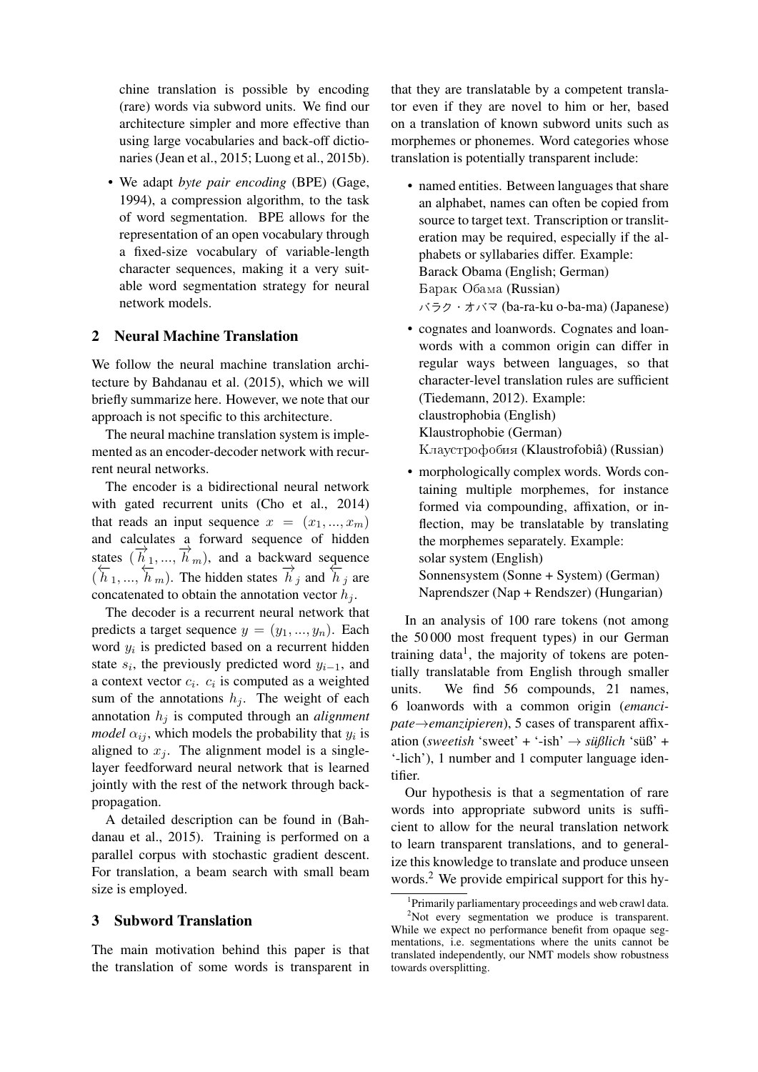chine translation is possible by encoding (rare) words via subword units. We find our architecture simpler and more effective than using large vocabularies and back-off dictionaries (Jean et al., 2015; Luong et al., 2015b).

• We adapt *byte pair encoding* (BPE) (Gage, 1994), a compression algorithm, to the task of word segmentation. BPE allows for the representation of an open vocabulary through a fixed-size vocabulary of variable-length character sequences, making it a very suitable word segmentation strategy for neural network models.

## 2 Neural Machine Translation

We follow the neural machine translation architecture by Bahdanau et al. (2015), which we will briefly summarize here. However, we note that our approach is not specific to this architecture.

The neural machine translation system is implemented as an encoder-decoder network with recurrent neural networks.

The encoder is a bidirectional neural network with gated recurrent units (Cho et al., 2014) that reads an input sequence  $x = (x_1, ..., x_m)$ and calculates a forward sequence of hidden states  $(\vec{h}_1, ..., \vec{h}_m)$ , and a backward sequence  $(\overline{h}_1, ..., \overline{h}_m)$ . The hidden states  $\overline{h}_j$  and  $\overline{h}_j$  are concatenated to obtain the annotation vector  $h_i$ .

The decoder is a recurrent neural network that predicts a target sequence  $y = (y_1, ..., y_n)$ . Each word  $y_i$  is predicted based on a recurrent hidden state  $s_i$ , the previously predicted word  $y_{i-1}$ , and a context vector  $c_i$ .  $c_i$  is computed as a weighted sum of the annotations  $h_i$ . The weight of each annotation  $h_j$  is computed through an *alignment model*  $\alpha_{ij}$ , which models the probability that  $y_i$  is aligned to  $x_i$ . The alignment model is a singlelayer feedforward neural network that is learned jointly with the rest of the network through backpropagation.

A detailed description can be found in (Bahdanau et al., 2015). Training is performed on a parallel corpus with stochastic gradient descent. For translation, a beam search with small beam size is employed.

# 3 Subword Translation

The main motivation behind this paper is that the translation of some words is transparent in

that they are translatable by a competent translator even if they are novel to him or her, based on a translation of known subword units such as morphemes or phonemes. Word categories whose translation is potentially transparent include:

- named entities. Between languages that share an alphabet, names can often be copied from source to target text. Transcription or transliteration may be required, especially if the alphabets or syllabaries differ. Example: Barack Obama (English; German) Барак Обама (Russian) バラク・オバマ (ba-ra-ku o-ba-ma) (Japanese)
- cognates and loanwords. Cognates and loanwords with a common origin can differ in regular ways between languages, so that character-level translation rules are sufficient (Tiedemann, 2012). Example: claustrophobia (English) Klaustrophobie (German) Клаустрофобия (Klaustrofobiâ) (Russian)
- morphologically complex words. Words containing multiple morphemes, for instance formed via compounding, affixation, or inflection, may be translatable by translating the morphemes separately. Example: solar system (English) Sonnensystem (Sonne + System) (German) Naprendszer (Nap + Rendszer) (Hungarian)

In an analysis of 100 rare tokens (not among the 50 000 most frequent types) in our German training data<sup>1</sup>, the majority of tokens are potentially translatable from English through smaller units. We find 56 compounds, 21 names, 6 loanwords with a common origin (*emancipate*→*emanzipieren*), 5 cases of transparent affixation (*sweetish* 'sweet' + '-ish' → *süßlich* 'süß' + '-lich'), 1 number and 1 computer language identifier.

Our hypothesis is that a segmentation of rare words into appropriate subword units is sufficient to allow for the neural translation network to learn transparent translations, and to generalize this knowledge to translate and produce unseen words.<sup>2</sup> We provide empirical support for this hy-

<sup>1</sup> Primarily parliamentary proceedings and web crawl data.

 $2$ Not every segmentation we produce is transparent. While we expect no performance benefit from opaque segmentations, i.e. segmentations where the units cannot be translated independently, our NMT models show robustness towards oversplitting.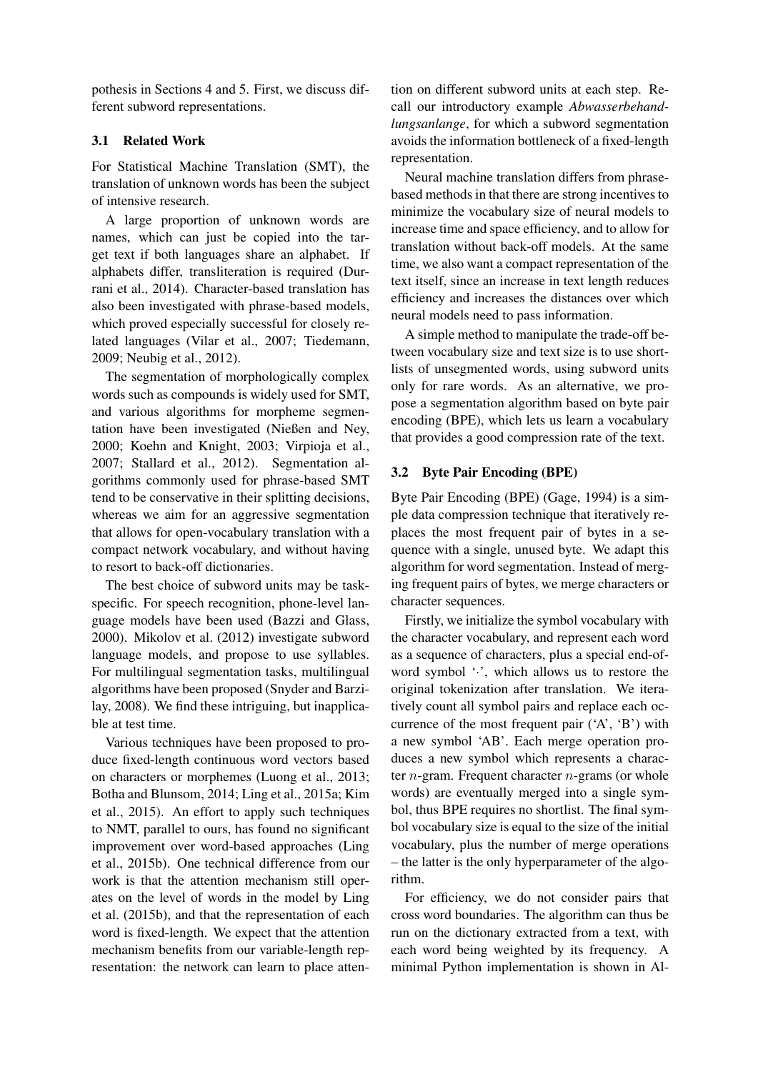pothesis in Sections 4 and 5. First, we discuss different subword representations.

# 3.1 Related Work

For Statistical Machine Translation (SMT), the translation of unknown words has been the subject of intensive research.

A large proportion of unknown words are names, which can just be copied into the target text if both languages share an alphabet. If alphabets differ, transliteration is required (Durrani et al., 2014). Character-based translation has also been investigated with phrase-based models, which proved especially successful for closely related languages (Vilar et al., 2007; Tiedemann, 2009; Neubig et al., 2012).

The segmentation of morphologically complex words such as compounds is widely used for SMT, and various algorithms for morpheme segmentation have been investigated (Nießen and Ney, 2000; Koehn and Knight, 2003; Virpioja et al., 2007; Stallard et al., 2012). Segmentation algorithms commonly used for phrase-based SMT tend to be conservative in their splitting decisions, whereas we aim for an aggressive segmentation that allows for open-vocabulary translation with a compact network vocabulary, and without having to resort to back-off dictionaries.

The best choice of subword units may be taskspecific. For speech recognition, phone-level language models have been used (Bazzi and Glass, 2000). Mikolov et al. (2012) investigate subword language models, and propose to use syllables. For multilingual segmentation tasks, multilingual algorithms have been proposed (Snyder and Barzilay, 2008). We find these intriguing, but inapplicable at test time.

Various techniques have been proposed to produce fixed-length continuous word vectors based on characters or morphemes (Luong et al., 2013; Botha and Blunsom, 2014; Ling et al., 2015a; Kim et al., 2015). An effort to apply such techniques to NMT, parallel to ours, has found no significant improvement over word-based approaches (Ling et al., 2015b). One technical difference from our work is that the attention mechanism still operates on the level of words in the model by Ling et al. (2015b), and that the representation of each word is fixed-length. We expect that the attention mechanism benefits from our variable-length representation: the network can learn to place attention on different subword units at each step. Recall our introductory example *Abwasserbehandlungsanlange*, for which a subword segmentation avoids the information bottleneck of a fixed-length representation.

Neural machine translation differs from phrasebased methods in that there are strong incentives to minimize the vocabulary size of neural models to increase time and space efficiency, and to allow for translation without back-off models. At the same time, we also want a compact representation of the text itself, since an increase in text length reduces efficiency and increases the distances over which neural models need to pass information.

A simple method to manipulate the trade-off between vocabulary size and text size is to use shortlists of unsegmented words, using subword units only for rare words. As an alternative, we propose a segmentation algorithm based on byte pair encoding (BPE), which lets us learn a vocabulary that provides a good compression rate of the text.

# 3.2 Byte Pair Encoding (BPE)

Byte Pair Encoding (BPE) (Gage, 1994) is a simple data compression technique that iteratively replaces the most frequent pair of bytes in a sequence with a single, unused byte. We adapt this algorithm for word segmentation. Instead of merging frequent pairs of bytes, we merge characters or character sequences.

Firstly, we initialize the symbol vocabulary with the character vocabulary, and represent each word as a sequence of characters, plus a special end-ofword symbol ' $\cdot$ ', which allows us to restore the original tokenization after translation. We iteratively count all symbol pairs and replace each occurrence of the most frequent pair ('A', 'B') with a new symbol 'AB'. Each merge operation produces a new symbol which represents a character  $n$ -gram. Frequent character  $n$ -grams (or whole words) are eventually merged into a single symbol, thus BPE requires no shortlist. The final symbol vocabulary size is equal to the size of the initial vocabulary, plus the number of merge operations – the latter is the only hyperparameter of the algorithm.

For efficiency, we do not consider pairs that cross word boundaries. The algorithm can thus be run on the dictionary extracted from a text, with each word being weighted by its frequency. A minimal Python implementation is shown in Al-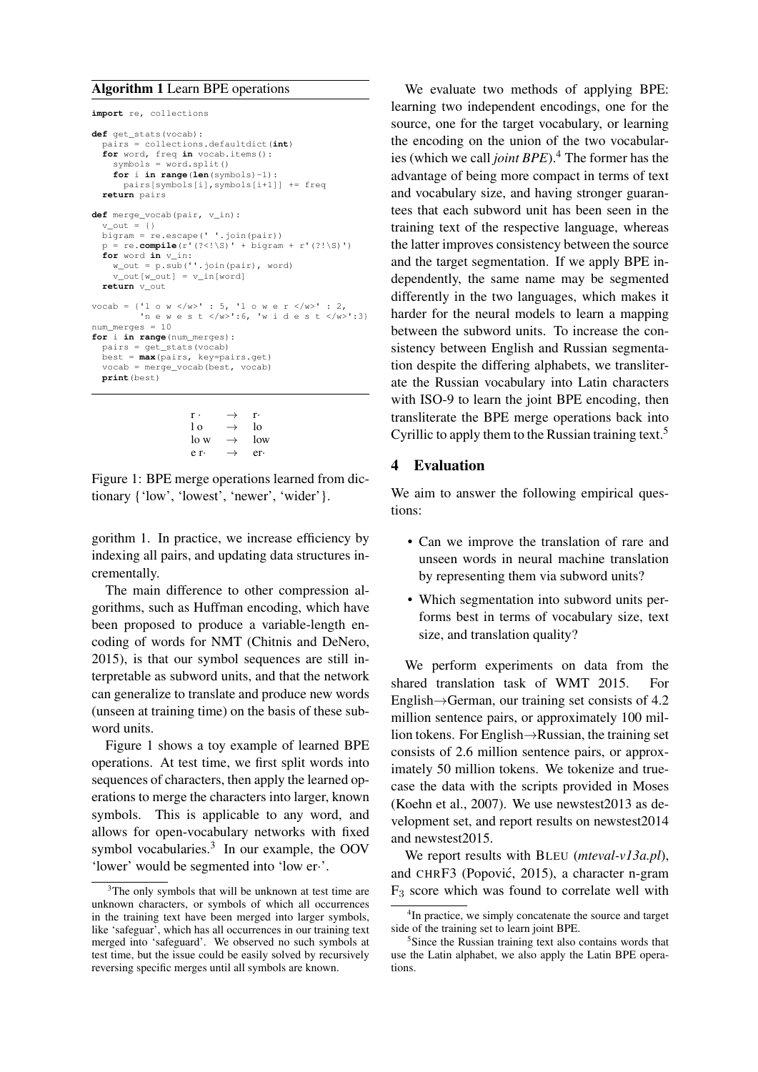#### Algorithm 1 Learn BPE operations

```
import re, collections
def get_stats(vocab):
  pairs = collections.defaultdict(int)
  for word, freq in vocab.items():
    swmbols = word.split()for i in range(len(symbols)-1):
      pairs[symbols[i],symbols[i+1]] += freq
  return pairs
def merge vocab(pair, v in):
  v out = {} {}
  bigram = re.escape(' '.join(pair))
  p = re.compile(r'(? \le |\S)'+bigarrow(r' (? \le |\S)')for word in v_in:
w_out = p.sub(''.join(pair), word)
    v_out[w_out] = v_in[word]return v_out
vocab = {'1 o w </w>' : 5, '1 o w e r </w>' : 2,
         'n e w e s t </w>':6, 'w i d e s t </w>':3}
num merges = 10for i in range(num_merges):
 pairs = get_stats(vocab)
  best = max(pairs, key=pairs.get)
  vocab = merge_vocab(best, vocab)
  print(best)
```

```
r \cdot \longrightarrow r\log \rightarrow \log\log \rightarrow low
e r· \rightarrow er·
```
Figure 1: BPE merge operations learned from dictionary {'low', 'lowest', 'newer', 'wider'}.

gorithm 1. In practice, we increase efficiency by indexing all pairs, and updating data structures incrementally.

The main difference to other compression algorithms, such as Huffman encoding, which have been proposed to produce a variable-length encoding of words for NMT (Chitnis and DeNero, 2015), is that our symbol sequences are still interpretable as subword units, and that the network can generalize to translate and produce new words (unseen at training time) on the basis of these subword units.

Figure 1 shows a toy example of learned BPE operations. At test time, we first split words into sequences of characters, then apply the learned operations to merge the characters into larger, known symbols. This is applicable to any word, and allows for open-vocabulary networks with fixed symbol vocabularies.<sup>3</sup> In our example, the OOV 'lower' would be segmented into 'low er·'.

We evaluate two methods of applying BPE: learning two independent encodings, one for the source, one for the target vocabulary, or learning the encoding on the union of the two vocabularies (which we call *joint BPE*).<sup>4</sup> The former has the advantage of being more compact in terms of text and vocabulary size, and having stronger guarantees that each subword unit has been seen in the training text of the respective language, whereas the latter improves consistency between the source and the target segmentation. If we apply BPE independently, the same name may be segmented differently in the two languages, which makes it harder for the neural models to learn a mapping between the subword units. To increase the consistency between English and Russian segmentation despite the differing alphabets, we transliterate the Russian vocabulary into Latin characters with ISO-9 to learn the joint BPE encoding, then transliterate the BPE merge operations back into Cyrillic to apply them to the Russian training text.<sup>5</sup>

# 4 Evaluation

We aim to answer the following empirical questions:

- Can we improve the translation of rare and unseen words in neural machine translation by representing them via subword units?
- Which segmentation into subword units performs best in terms of vocabulary size, text size, and translation quality?

We perform experiments on data from the shared translation task of WMT 2015. For English→German, our training set consists of 4.2 million sentence pairs, or approximately 100 million tokens. For English→Russian, the training set consists of 2.6 million sentence pairs, or approximately 50 million tokens. We tokenize and truecase the data with the scripts provided in Moses (Koehn et al., 2007). We use newstest2013 as development set, and report results on newstest2014 and newstest2015.

We report results with BLEU (*mteval-v13a.pl*), and CHRF3 (Popović, 2015), a character n-gram  $F<sub>3</sub>$  score which was found to correlate well with

<sup>&</sup>lt;sup>3</sup>The only symbols that will be unknown at test time are unknown characters, or symbols of which all occurrences in the training text have been merged into larger symbols, like 'safeguar', which has all occurrences in our training text merged into 'safeguard'. We observed no such symbols at test time, but the issue could be easily solved by recursively reversing specific merges until all symbols are known.

<sup>&</sup>lt;sup>4</sup>In practice, we simply concatenate the source and target side of the training set to learn joint BPE.

<sup>5</sup> Since the Russian training text also contains words that use the Latin alphabet, we also apply the Latin BPE operations.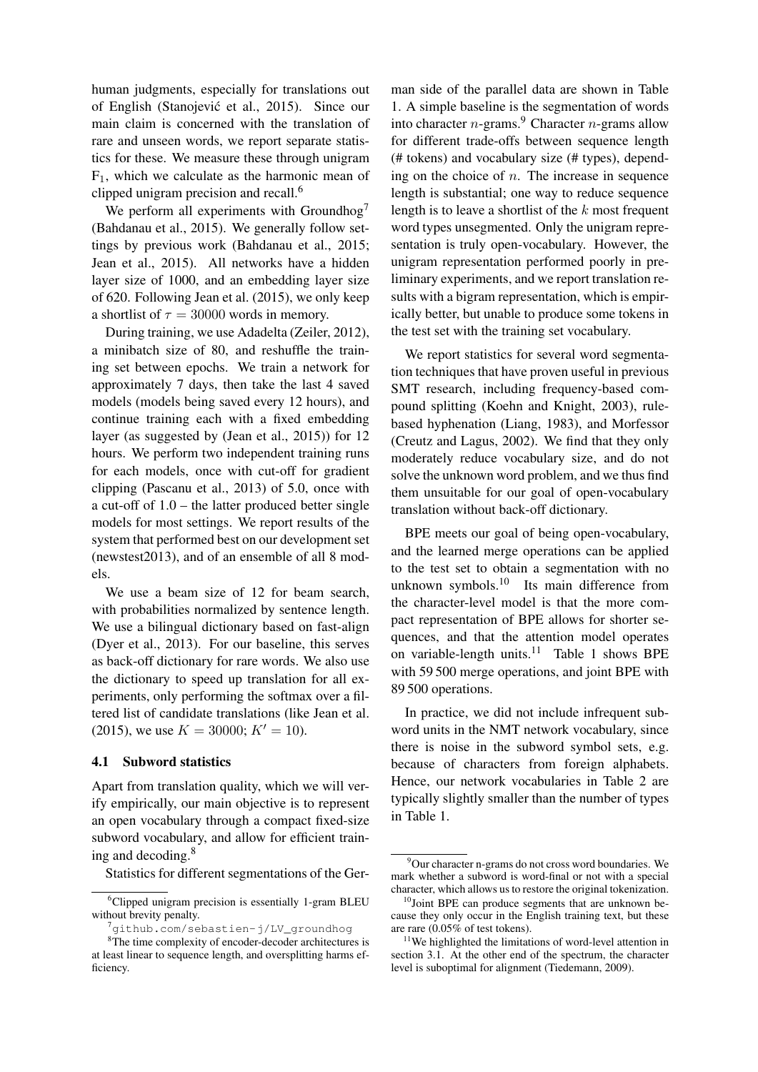human judgments, especially for translations out of English (Stanojevic et al., 2015). Since our ´ main claim is concerned with the translation of rare and unseen words, we report separate statistics for these. We measure these through unigram  $F_1$ , which we calculate as the harmonic mean of clipped unigram precision and recall.<sup>6</sup>

We perform all experiments with Groundhog<sup>7</sup> (Bahdanau et al., 2015). We generally follow settings by previous work (Bahdanau et al., 2015; Jean et al., 2015). All networks have a hidden layer size of 1000, and an embedding layer size of 620. Following Jean et al. (2015), we only keep a shortlist of  $\tau = 30000$  words in memory.

During training, we use Adadelta (Zeiler, 2012), a minibatch size of 80, and reshuffle the training set between epochs. We train a network for approximately 7 days, then take the last 4 saved models (models being saved every 12 hours), and continue training each with a fixed embedding layer (as suggested by (Jean et al., 2015)) for 12 hours. We perform two independent training runs for each models, once with cut-off for gradient clipping (Pascanu et al., 2013) of 5.0, once with a cut-off of 1.0 – the latter produced better single models for most settings. We report results of the system that performed best on our development set (newstest2013), and of an ensemble of all 8 models.

We use a beam size of 12 for beam search, with probabilities normalized by sentence length. We use a bilingual dictionary based on fast-align (Dyer et al., 2013). For our baseline, this serves as back-off dictionary for rare words. We also use the dictionary to speed up translation for all experiments, only performing the softmax over a filtered list of candidate translations (like Jean et al. (2015), we use  $K = 30000$ ;  $K' = 10$ .

## 4.1 Subword statistics

Apart from translation quality, which we will verify empirically, our main objective is to represent an open vocabulary through a compact fixed-size subword vocabulary, and allow for efficient training and decoding.<sup>8</sup>

Statistics for different segmentations of the Ger-

man side of the parallel data are shown in Table 1. A simple baseline is the segmentation of words into character  $n$ -grams.<sup>9</sup> Character  $n$ -grams allow for different trade-offs between sequence length (# tokens) and vocabulary size (# types), depending on the choice of  $n$ . The increase in sequence length is substantial; one way to reduce sequence length is to leave a shortlist of the  $k$  most frequent word types unsegmented. Only the unigram representation is truly open-vocabulary. However, the unigram representation performed poorly in preliminary experiments, and we report translation results with a bigram representation, which is empirically better, but unable to produce some tokens in the test set with the training set vocabulary.

We report statistics for several word segmentation techniques that have proven useful in previous SMT research, including frequency-based compound splitting (Koehn and Knight, 2003), rulebased hyphenation (Liang, 1983), and Morfessor (Creutz and Lagus, 2002). We find that they only moderately reduce vocabulary size, and do not solve the unknown word problem, and we thus find them unsuitable for our goal of open-vocabulary translation without back-off dictionary.

BPE meets our goal of being open-vocabulary, and the learned merge operations can be applied to the test set to obtain a segmentation with no unknown symbols. $10$  Its main difference from the character-level model is that the more compact representation of BPE allows for shorter sequences, and that the attention model operates on variable-length units.<sup>11</sup> Table 1 shows BPE with 59 500 merge operations, and joint BPE with 89 500 operations.

In practice, we did not include infrequent subword units in the NMT network vocabulary, since there is noise in the subword symbol sets, e.g. because of characters from foreign alphabets. Hence, our network vocabularies in Table 2 are typically slightly smaller than the number of types in Table 1.

<sup>&</sup>lt;sup>6</sup>Clipped unigram precision is essentially 1-gram BLEU without brevity penalty.

<sup>7</sup>github.com/sebastien-j/LV\_groundhog

<sup>&</sup>lt;sup>8</sup>The time complexity of encoder-decoder architectures is at least linear to sequence length, and oversplitting harms efficiency.

 $9$ Our character n-grams do not cross word boundaries. We mark whether a subword is word-final or not with a special character, which allows us to restore the original tokenization.

<sup>&</sup>lt;sup>10</sup>Joint BPE can produce segments that are unknown because they only occur in the English training text, but these are rare (0.05% of test tokens).

<sup>&</sup>lt;sup>11</sup>We highlighted the limitations of word-level attention in section 3.1. At the other end of the spectrum, the character level is suboptimal for alignment (Tiedemann, 2009).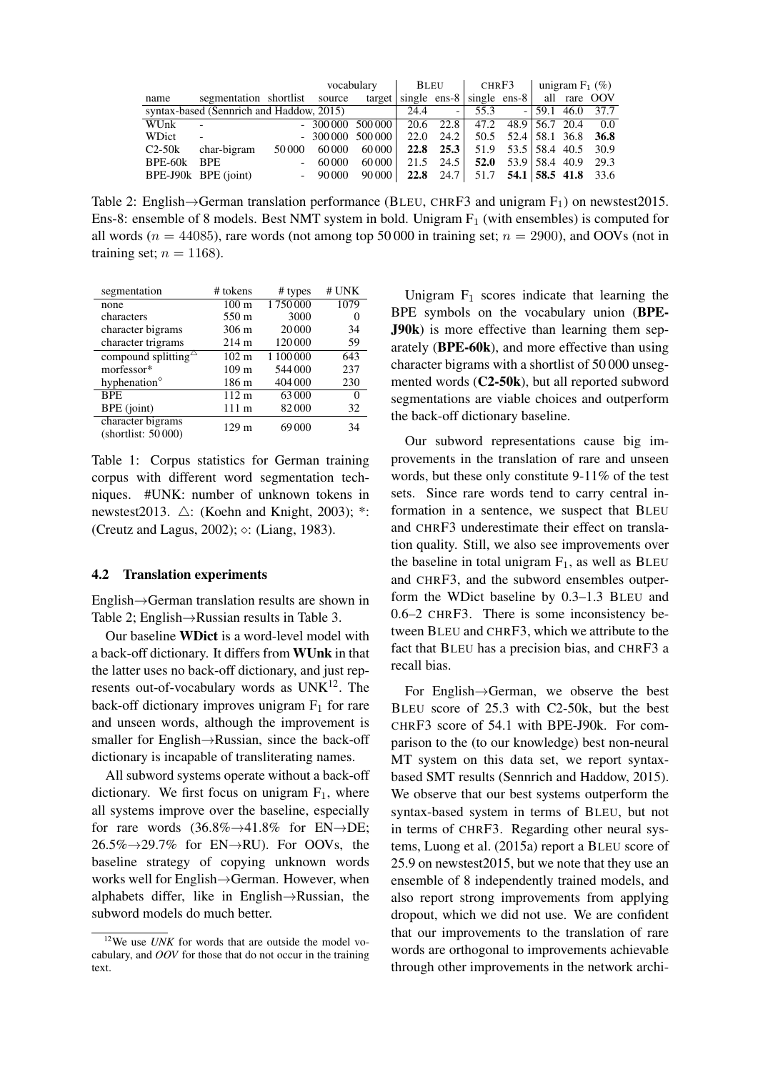|                                          |                          |        | vocabulary<br>BLEU |                          | CHRF3                                                       |               | unigram $F_1$ (%)                  |                       |                    |  |      |
|------------------------------------------|--------------------------|--------|--------------------|--------------------------|-------------------------------------------------------------|---------------|------------------------------------|-----------------------|--------------------|--|------|
| name                                     | segmentation shortlist   |        | source             |                          | $\frac{1}{2}$ target single ens-8 single ens-8 all rare OOV |               |                                    |                       |                    |  |      |
| syntax-based (Sennrich and Haddow, 2015) |                          |        | 24.4               | $\overline{\phantom{a}}$ | 55.3                                                        |               |                                    |                       | $-159.1$ 46.0 37.7 |  |      |
| WUnk                                     | $\overline{\phantom{a}}$ |        |                    | $-300000500000$          | 20.6 22.8                                                   |               |                                    | 47.2 48.9 56.7 20.4   |                    |  | 0.0  |
| WDict                                    | $\sim$                   |        |                    | $-300000500000$          | 22.0                                                        | 24.2          | 50.5 52.4 58.1 36.8 36.8           |                       |                    |  |      |
| $C2-50k$                                 | char-bigram              | 50 000 | 60,000             | 60 000                   |                                                             | $22.8$ $25.3$ |                                    | 51.9 53.5 58.4 40.5   |                    |  | 30.9 |
| BPE-60k                                  | <b>BPE</b>               | $\sim$ | 60 000             | 60000                    | 21.5                                                        | 24.5          |                                    | 52.0 $53.9$ 58.4 40.9 |                    |  | 29.3 |
|                                          | BPE-J90k BPE (joint)     |        | $-90000$           | 90 000                   |                                                             |               | 22.8 24.7 51.7 54.1 58.5 41.8 33.6 |                       |                    |  |      |

Table 2: English $\rightarrow$ German translation performance (BLEU, CHRF3 and unigram F<sub>1</sub>) on newstest2015. Ens-8: ensemble of 8 models. Best NMT system in bold. Unigram  $F_1$  (with ensembles) is computed for all words ( $n = 44085$ ), rare words (not among top 50 000 in training set;  $n = 2900$ ), and OOVs (not in training set;  $n = 1168$ ).

| segmentation                            | # tokens         | # types   | # UNK             |
|-----------------------------------------|------------------|-----------|-------------------|
| none                                    | $100 \text{ m}$  | 1750000   | 1079              |
| characters                              | 550 m            | 3000      | $\mathbf{\Omega}$ |
| character bigrams                       | $306 \text{ m}$  | 20 000    | 34                |
| character trigrams                      | $214 \text{ m}$  | 120 000   | 59                |
| compound splitting $\triangle$          | $102 \text{ m}$  | 1 100 000 | 643               |
| morfessor*                              | 109 <sub>m</sub> | 544 000   | 237               |
| hyphenation $\degree$                   | 186 m            | 404 000   | 230               |
| <b>BPE</b>                              | $112 \text{ m}$  | 63000     | 0                 |
| BPE (joint)                             | 111 m            | 82000     | 32                |
| character bigrams<br>(shortlist: 50000) | 129 <sub>m</sub> | 69000     | 34                |

Table 1: Corpus statistics for German training corpus with different word segmentation techniques. #UNK: number of unknown tokens in newstest2013.  $\triangle$ : (Koehn and Knight, 2003); \*: (Creutz and Lagus, 2002);  $\diamond$ : (Liang, 1983).

#### 4.2 Translation experiments

English→German translation results are shown in Table 2; English→Russian results in Table 3.

Our baseline WDict is a word-level model with a back-off dictionary. It differs from WUnk in that the latter uses no back-off dictionary, and just represents out-of-vocabulary words as  $UNK<sup>12</sup>$ . The back-off dictionary improves unigram  $F_1$  for rare and unseen words, although the improvement is smaller for English→Russian, since the back-off dictionary is incapable of transliterating names.

All subword systems operate without a back-off dictionary. We first focus on unigram  $F_1$ , where all systems improve over the baseline, especially for rare words  $(36.8\% \rightarrow 41.8\%$  for EN $\rightarrow$ DE;  $26.5\% \rightarrow 29.7\%$  for EN $\rightarrow$ RU). For OOVs, the baseline strategy of copying unknown words works well for English→German. However, when alphabets differ, like in English→Russian, the subword models do much better.

Unigram  $F_1$  scores indicate that learning the BPE symbols on the vocabulary union (BPE-J90k) is more effective than learning them separately (BPE-60k), and more effective than using character bigrams with a shortlist of 50 000 unsegmented words (C2-50k), but all reported subword segmentations are viable choices and outperform the back-off dictionary baseline.

Our subword representations cause big improvements in the translation of rare and unseen words, but these only constitute 9-11% of the test sets. Since rare words tend to carry central information in a sentence, we suspect that BLEU and CHRF3 underestimate their effect on translation quality. Still, we also see improvements over the baseline in total unigram  $F_1$ , as well as BLEU and CHRF3, and the subword ensembles outperform the WDict baseline by 0.3–1.3 BLEU and 0.6–2 CHRF3. There is some inconsistency between BLEU and CHRF3, which we attribute to the fact that BLEU has a precision bias, and CHRF3 a recall bias.

For English→German, we observe the best BLEU score of 25.3 with C2-50k, but the best CHRF3 score of 54.1 with BPE-J90k. For comparison to the (to our knowledge) best non-neural MT system on this data set, we report syntaxbased SMT results (Sennrich and Haddow, 2015). We observe that our best systems outperform the syntax-based system in terms of BLEU, but not in terms of CHRF3. Regarding other neural systems, Luong et al. (2015a) report a BLEU score of 25.9 on newstest2015, but we note that they use an ensemble of 8 independently trained models, and also report strong improvements from applying dropout, which we did not use. We are confident that our improvements to the translation of rare words are orthogonal to improvements achievable through other improvements in the network archi-

<sup>&</sup>lt;sup>12</sup>We use *UNK* for words that are outside the model vocabulary, and *OOV* for those that do not occur in the training text.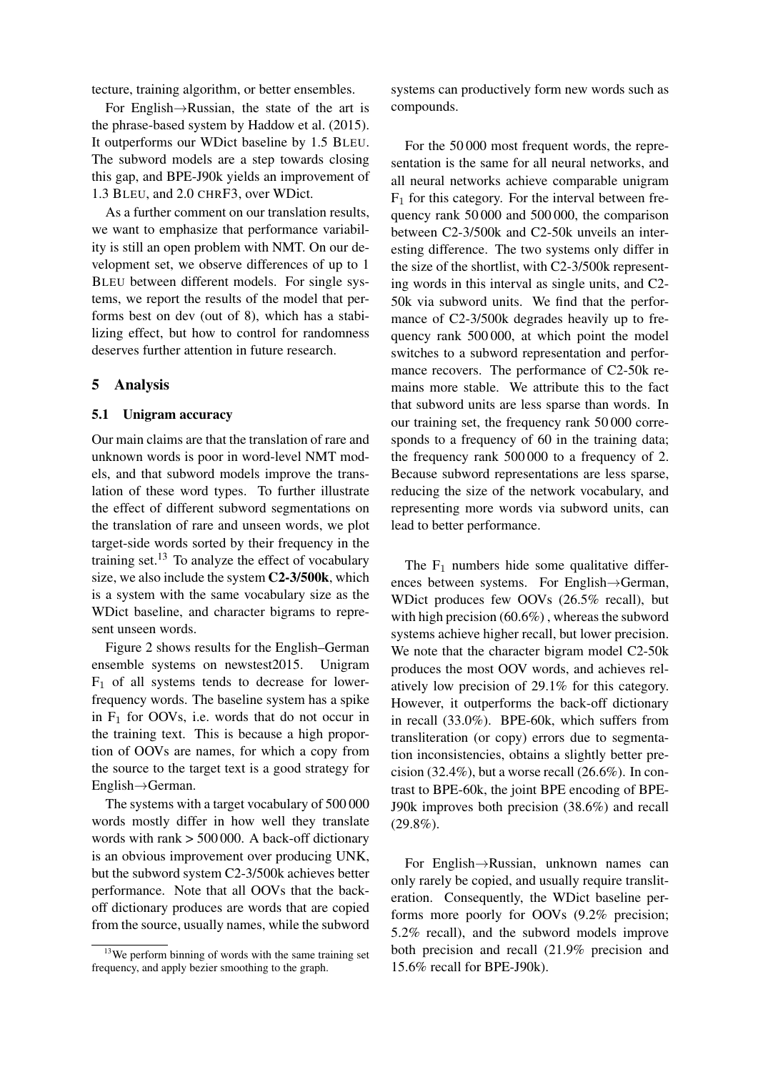tecture, training algorithm, or better ensembles.

For English→Russian, the state of the art is the phrase-based system by Haddow et al. (2015). It outperforms our WDict baseline by 1.5 BLEU. The subword models are a step towards closing this gap, and BPE-J90k yields an improvement of 1.3 BLEU, and 2.0 CHRF3, over WDict.

As a further comment on our translation results, we want to emphasize that performance variability is still an open problem with NMT. On our development set, we observe differences of up to 1 BLEU between different models. For single systems, we report the results of the model that performs best on dev (out of 8), which has a stabilizing effect, but how to control for randomness deserves further attention in future research.

## 5 Analysis

#### 5.1 Unigram accuracy

Our main claims are that the translation of rare and unknown words is poor in word-level NMT models, and that subword models improve the translation of these word types. To further illustrate the effect of different subword segmentations on the translation of rare and unseen words, we plot target-side words sorted by their frequency in the training set. $^{13}$  To analyze the effect of vocabulary size, we also include the system C2-3/500k, which is a system with the same vocabulary size as the WDict baseline, and character bigrams to represent unseen words.

Figure 2 shows results for the English–German ensemble systems on newstest2015. Unigram  $F_1$  of all systems tends to decrease for lowerfrequency words. The baseline system has a spike in  $F_1$  for OOVs, i.e. words that do not occur in the training text. This is because a high proportion of OOVs are names, for which a copy from the source to the target text is a good strategy for English→German.

The systems with a target vocabulary of 500 000 words mostly differ in how well they translate words with rank > 500 000. A back-off dictionary is an obvious improvement over producing UNK, but the subword system C2-3/500k achieves better performance. Note that all OOVs that the backoff dictionary produces are words that are copied from the source, usually names, while the subword systems can productively form new words such as compounds.

For the 50 000 most frequent words, the representation is the same for all neural networks, and all neural networks achieve comparable unigram  $F_1$  for this category. For the interval between frequency rank 50 000 and 500 000, the comparison between C2-3/500k and C2-50k unveils an interesting difference. The two systems only differ in the size of the shortlist, with C2-3/500k representing words in this interval as single units, and C2- 50k via subword units. We find that the performance of C2-3/500k degrades heavily up to frequency rank 500 000, at which point the model switches to a subword representation and performance recovers. The performance of C2-50k remains more stable. We attribute this to the fact that subword units are less sparse than words. In our training set, the frequency rank 50 000 corresponds to a frequency of 60 in the training data; the frequency rank 500 000 to a frequency of 2. Because subword representations are less sparse, reducing the size of the network vocabulary, and representing more words via subword units, can lead to better performance.

The  $F_1$  numbers hide some qualitative differences between systems. For English→German, WDict produces few OOVs (26.5% recall), but with high precision (60.6%) , whereas the subword systems achieve higher recall, but lower precision. We note that the character bigram model C2-50k produces the most OOV words, and achieves relatively low precision of 29.1% for this category. However, it outperforms the back-off dictionary in recall (33.0%). BPE-60k, which suffers from transliteration (or copy) errors due to segmentation inconsistencies, obtains a slightly better precision (32.4%), but a worse recall (26.6%). In contrast to BPE-60k, the joint BPE encoding of BPE-J90k improves both precision (38.6%) and recall  $(29.8\%)$ .

For English→Russian, unknown names can only rarely be copied, and usually require transliteration. Consequently, the WDict baseline performs more poorly for OOVs (9.2% precision; 5.2% recall), and the subword models improve both precision and recall (21.9% precision and 15.6% recall for BPE-J90k).

 $13$ We perform binning of words with the same training set frequency, and apply bezier smoothing to the graph.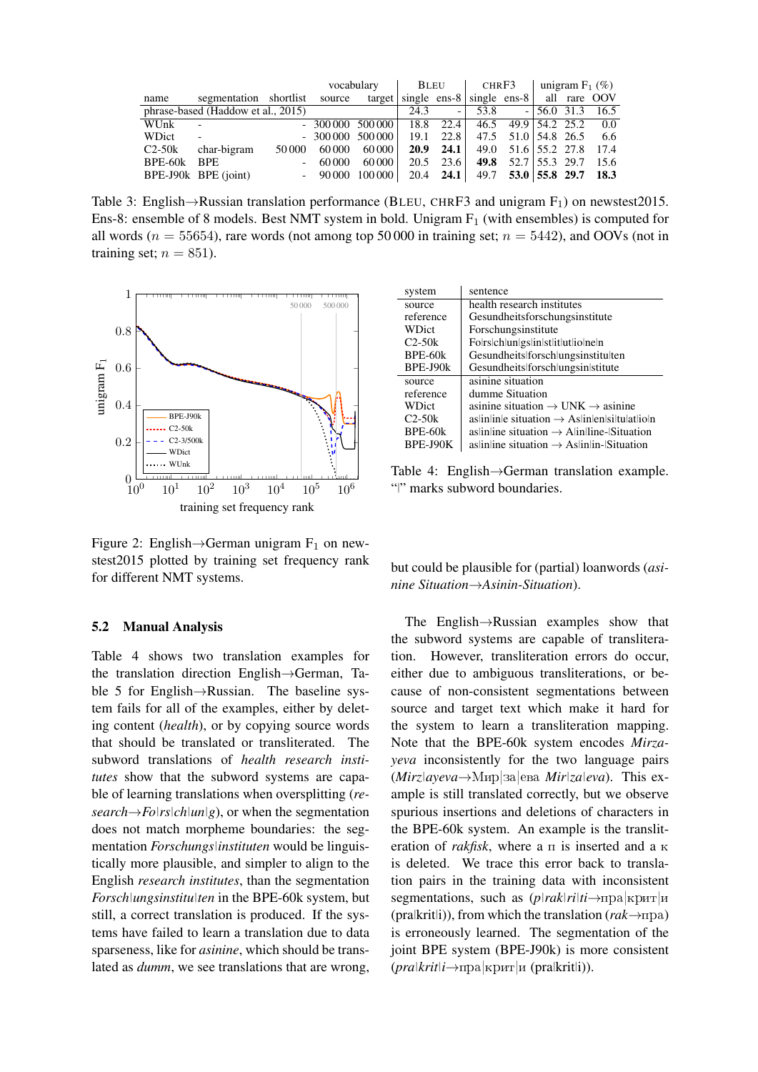|          |                                    |                          | vocabulary<br>BLEU |         | CHRF3 |                  | unigram $F_1$ (%)                                      |                            |  |  |                    |
|----------|------------------------------------|--------------------------|--------------------|---------|-------|------------------|--------------------------------------------------------|----------------------------|--|--|--------------------|
| name     | segmentation shortlist             |                          | source             | target  |       |                  | single ens-8 $\vert$ single ens-8 $\vert$ all rare OOV |                            |  |  |                    |
|          | phrase-based (Haddow et al., 2015) |                          |                    |         | 24.3  | $-1$             | 53.8                                                   |                            |  |  | $-156.0$ 31.3 16.5 |
| WUnk     | $\overline{a}$                     |                          | $-300000$          | 500 000 |       | 18.8 22.4        |                                                        | 46.5 49.9 54.2 25.2        |  |  | $0.0\,$            |
| WDict    | $\sim$                             |                          | $-300000$          | 500 000 | 19.1  | 22.8             |                                                        | 47.5 51.0 54.8 26.5 6.6    |  |  |                    |
| $C2-50k$ | char-bigram                        | 50 000                   | 60 000             | 60 000  |       | $20.9$ 24.1      |                                                        | 49.0 51.6 55.2 27.8 17.4   |  |  |                    |
| BPE-60k  | <b>BPE</b>                         | $\overline{\phantom{a}}$ | 60000              | 60 000  | 20.5  | 23.6             |                                                        | 49.8 $52.7   55.3 29.7$    |  |  | 15.6               |
|          | BPE-J90k BPE (joint)               |                          | $-90000$           | 100 000 |       | 20.4 <b>24.1</b> |                                                        | 49.7 $53.0$ 55.8 29.7 18.3 |  |  |                    |

Table 3: English $\rightarrow$ Russian translation performance (BLEU, CHRF3 and unigram F<sub>1</sub>) on newstest2015. Ens-8: ensemble of 8 models. Best NMT system in bold. Unigram  $F_1$  (with ensembles) is computed for all words ( $n = 55654$ ), rare words (not among top 50 000 in training set;  $n = 5442$ ), and OOVs (not in training set;  $n = 851$ ).



Figure 2: English $\rightarrow$ German unigram F<sub>1</sub> on newstest2015 plotted by training set frequency rank for different NMT systems.

#### 5.2 Manual Analysis

Table 4 shows two translation examples for the translation direction English→German, Table 5 for English→Russian. The baseline system fails for all of the examples, either by deleting content (*health*), or by copying source words that should be translated or transliterated. The subword translations of *health research institutes* show that the subword systems are capable of learning translations when oversplitting (*re* $search \rightarrow Folrs|ch|un|g$ , or when the segmentation does not match morpheme boundaries: the segmentation *Forschungs|instituten* would be linguistically more plausible, and simpler to align to the English *research institutes*, than the segmentation *Forsch|ungsinstitu|ten* in the BPE-60k system, but still, a correct translation is produced. If the systems have failed to learn a translation due to data sparseness, like for *asinine*, which should be translated as *dumm*, we see translations that are wrong,

| system       | sentence                                                            |
|--------------|---------------------------------------------------------------------|
| source       | health research institutes                                          |
| reference    | Gesundheitsforschungsinstitute                                      |
| <b>WDict</b> | Forschungsinstitute                                                 |
| $C2-50k$     | Folrslchlunlgslinlstlitlutliolneln                                  |
| BPE-60k      | Gesundheits forsch ungsinstitu ten                                  |
| BPE-J90k     | Gesundheits forsch ungsin stitute                                   |
| source       | asinine situation                                                   |
| reference    | dumme Situation                                                     |
| <b>WDict</b> | asinine situation $\rightarrow$ UNK $\rightarrow$ asinine           |
| $C2-50k$     | $\alpha$ as in line situation $\rightarrow$ As lines helitulated in |
| BPE-60k      | as in line situation $\rightarrow$ A lin line-Situation             |
| BPE-J90K     | as in line situation $\rightarrow$ As in lin-Situation              |

Table 4: English→German translation example. "|" marks subword boundaries.

but could be plausible for (partial) loanwords (*asinine Situation*→*Asinin-Situation*).

The English→Russian examples show that the subword systems are capable of transliteration. However, transliteration errors do occur, either due to ambiguous transliterations, or because of non-consistent segmentations between source and target text which make it hard for the system to learn a transliteration mapping. Note that the BPE-60k system encodes *Mirzayeva* inconsistently for the two language pairs (*Mirz|ayeva*→Ìèð|çà|åâà *Mir|za|eva*). This example is still translated correctly, but we observe spurious insertions and deletions of characters in the BPE-60k system. An example is the transliteration of *rakfisk*, where a  $\pi$  is inserted and a  $\kappa$ is deleted. We trace this error back to translation pairs in the training data with inconsistent segmentations, such as  $(p|rak|ri|ti \rightarrow npa|kpmr|li$ (pra|krit|i)), from which the translation ( $rak \rightarrow \pi$ pa) is erroneously learned. The segmentation of the joint BPE system (BPE-J90k) is more consistent (*pra|krit|i*→ïðà|êðèò|è (pra|krit|i)).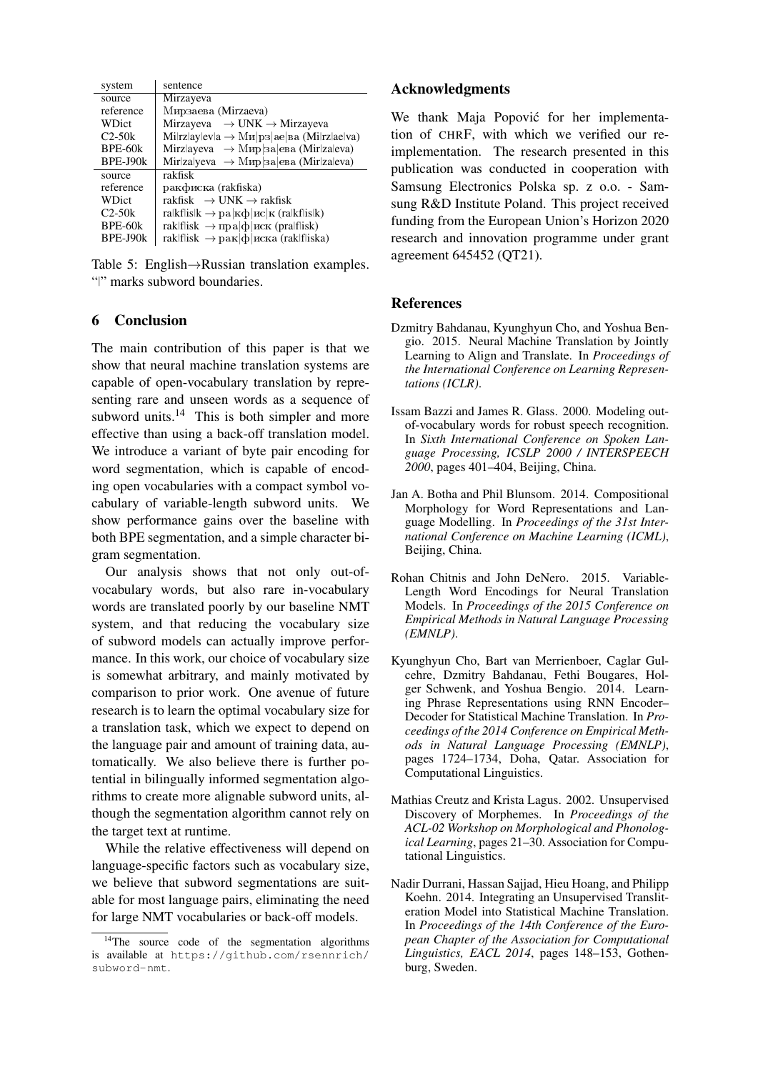| system    | sentence                                                      |
|-----------|---------------------------------------------------------------|
| source    | Mirzayeva                                                     |
| reference | Мирзаева (Mirzaeva)                                           |
| WDict     | Mirzayeva $\rightarrow$ UNK $\rightarrow$ Mirzayeva           |
| $C2-50k$  | $Milrzlaylevla \rightarrow Mu p3 ae ba (Milrzlaelva)$         |
| $BPE-60k$ | Mirzlayeva $\rightarrow$ Mup 3a eBa (Mirzaleva)               |
| BPE-J90k  | Mir za yeva $\rightarrow$ Mup 3a eBa (Mir za eva)             |
| source    | rakfisk                                                       |
| reference | ракфиска (rakfiska)                                           |
| WDict     | rakfisk $\rightarrow$ UNK $\rightarrow$ rakfisk               |
| $C2-50k$  | ra kf is k $\rightarrow$ pa k $\phi$   $\mu$ c k (ra kf is k) |
| BPE-60k   | rak f isk $\rightarrow$ пра $ \phi $ иск (pra f isk)          |
| BPE-J90k  | rak f isk $\rightarrow$ рак ф иска (rak f iska)               |
|           |                                                               |

Table 5: English→Russian translation examples. "|" marks subword boundaries.

# 6 Conclusion

The main contribution of this paper is that we show that neural machine translation systems are capable of open-vocabulary translation by representing rare and unseen words as a sequence of subword units. $14$  This is both simpler and more effective than using a back-off translation model. We introduce a variant of byte pair encoding for word segmentation, which is capable of encoding open vocabularies with a compact symbol vocabulary of variable-length subword units. We show performance gains over the baseline with both BPE segmentation, and a simple character bigram segmentation.

Our analysis shows that not only out-ofvocabulary words, but also rare in-vocabulary words are translated poorly by our baseline NMT system, and that reducing the vocabulary size of subword models can actually improve performance. In this work, our choice of vocabulary size is somewhat arbitrary, and mainly motivated by comparison to prior work. One avenue of future research is to learn the optimal vocabulary size for a translation task, which we expect to depend on the language pair and amount of training data, automatically. We also believe there is further potential in bilingually informed segmentation algorithms to create more alignable subword units, although the segmentation algorithm cannot rely on the target text at runtime.

While the relative effectiveness will depend on language-specific factors such as vocabulary size, we believe that subword segmentations are suitable for most language pairs, eliminating the need for large NMT vocabularies or back-off models.

#### Acknowledgments

We thank Maja Popović for her implementation of CHRF, with which we verified our reimplementation. The research presented in this publication was conducted in cooperation with Samsung Electronics Polska sp. z o.o. - Samsung R&D Institute Poland. This project received funding from the European Union's Horizon 2020 research and innovation programme under grant agreement 645452 (QT21).

## **References**

- Dzmitry Bahdanau, Kyunghyun Cho, and Yoshua Bengio. 2015. Neural Machine Translation by Jointly Learning to Align and Translate. In *Proceedings of the International Conference on Learning Representations (ICLR)*.
- Issam Bazzi and James R. Glass. 2000. Modeling outof-vocabulary words for robust speech recognition. In *Sixth International Conference on Spoken Language Processing, ICSLP 2000 / INTERSPEECH 2000*, pages 401–404, Beijing, China.
- Jan A. Botha and Phil Blunsom. 2014. Compositional Morphology for Word Representations and Language Modelling. In *Proceedings of the 31st International Conference on Machine Learning (ICML)*, Beijing, China.
- Rohan Chitnis and John DeNero. 2015. Variable-Length Word Encodings for Neural Translation Models. In *Proceedings of the 2015 Conference on Empirical Methods in Natural Language Processing (EMNLP)*.
- Kyunghyun Cho, Bart van Merrienboer, Caglar Gulcehre, Dzmitry Bahdanau, Fethi Bougares, Holger Schwenk, and Yoshua Bengio. 2014. Learning Phrase Representations using RNN Encoder– Decoder for Statistical Machine Translation. In *Proceedings of the 2014 Conference on Empirical Methods in Natural Language Processing (EMNLP)*, pages 1724–1734, Doha, Qatar. Association for Computational Linguistics.
- Mathias Creutz and Krista Lagus. 2002. Unsupervised Discovery of Morphemes. In *Proceedings of the ACL-02 Workshop on Morphological and Phonological Learning*, pages 21–30. Association for Computational Linguistics.
- Nadir Durrani, Hassan Sajjad, Hieu Hoang, and Philipp Koehn. 2014. Integrating an Unsupervised Transliteration Model into Statistical Machine Translation. In *Proceedings of the 14th Conference of the European Chapter of the Association for Computational Linguistics, EACL 2014*, pages 148–153, Gothenburg, Sweden.

 $14$ The source code of the segmentation algorithms is available at https://github.com/rsennrich/ subword-nmt.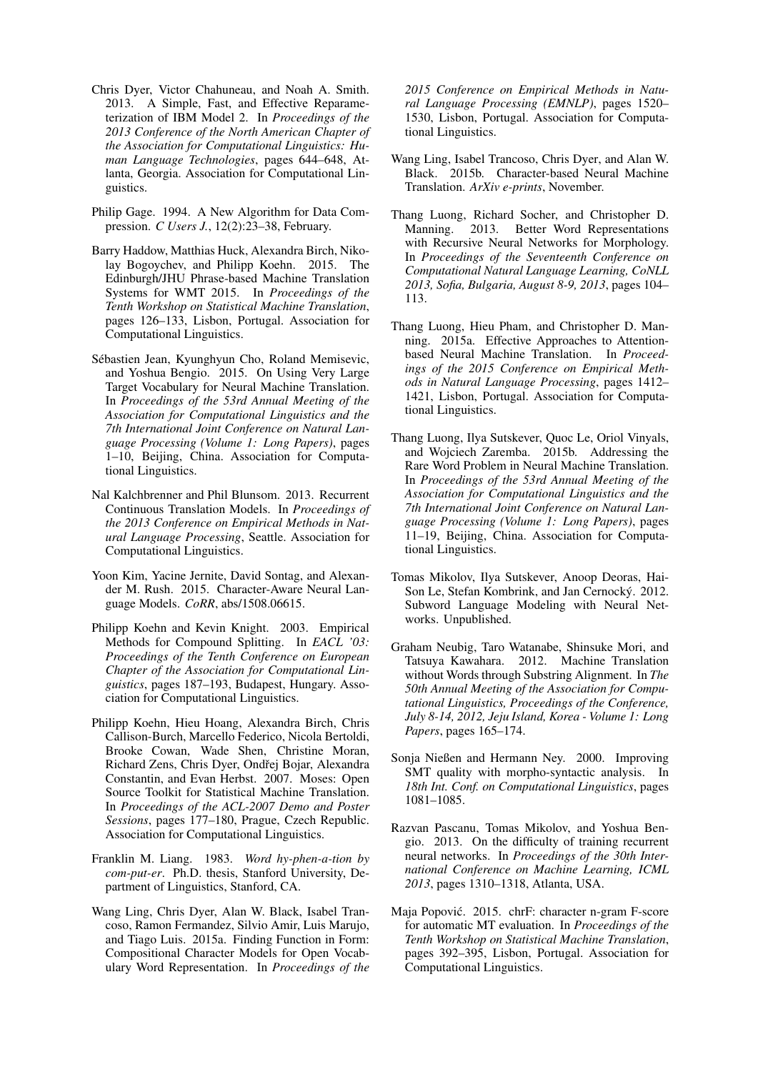- Chris Dyer, Victor Chahuneau, and Noah A. Smith. 2013. A Simple, Fast, and Effective Reparameterization of IBM Model 2. In *Proceedings of the 2013 Conference of the North American Chapter of the Association for Computational Linguistics: Human Language Technologies*, pages 644–648, Atlanta, Georgia. Association for Computational Linguistics.
- Philip Gage. 1994. A New Algorithm for Data Compression. *C Users J.*, 12(2):23–38, February.
- Barry Haddow, Matthias Huck, Alexandra Birch, Nikolay Bogoychev, and Philipp Koehn. 2015. The Edinburgh/JHU Phrase-based Machine Translation Systems for WMT 2015. In *Proceedings of the Tenth Workshop on Statistical Machine Translation*, pages 126–133, Lisbon, Portugal. Association for Computational Linguistics.
- Sébastien Jean, Kyunghyun Cho, Roland Memisevic, and Yoshua Bengio. 2015. On Using Very Large Target Vocabulary for Neural Machine Translation. In *Proceedings of the 53rd Annual Meeting of the Association for Computational Linguistics and the 7th International Joint Conference on Natural Language Processing (Volume 1: Long Papers)*, pages 1–10, Beijing, China. Association for Computational Linguistics.
- Nal Kalchbrenner and Phil Blunsom. 2013. Recurrent Continuous Translation Models. In *Proceedings of the 2013 Conference on Empirical Methods in Natural Language Processing*, Seattle. Association for Computational Linguistics.
- Yoon Kim, Yacine Jernite, David Sontag, and Alexander M. Rush. 2015. Character-Aware Neural Language Models. *CoRR*, abs/1508.06615.
- Philipp Koehn and Kevin Knight. 2003. Empirical Methods for Compound Splitting. In *EACL '03: Proceedings of the Tenth Conference on European Chapter of the Association for Computational Linguistics*, pages 187–193, Budapest, Hungary. Association for Computational Linguistics.
- Philipp Koehn, Hieu Hoang, Alexandra Birch, Chris Callison-Burch, Marcello Federico, Nicola Bertoldi, Brooke Cowan, Wade Shen, Christine Moran, Richard Zens, Chris Dyer, Ondřej Bojar, Alexandra Constantin, and Evan Herbst. 2007. Moses: Open Source Toolkit for Statistical Machine Translation. In *Proceedings of the ACL-2007 Demo and Poster Sessions*, pages 177–180, Prague, Czech Republic. Association for Computational Linguistics.
- Franklin M. Liang. 1983. *Word hy-phen-a-tion by com-put-er*. Ph.D. thesis, Stanford University, Department of Linguistics, Stanford, CA.
- Wang Ling, Chris Dyer, Alan W. Black, Isabel Trancoso, Ramon Fermandez, Silvio Amir, Luis Marujo, and Tiago Luis. 2015a. Finding Function in Form: Compositional Character Models for Open Vocabulary Word Representation. In *Proceedings of the*

*2015 Conference on Empirical Methods in Natural Language Processing (EMNLP)*, pages 1520– 1530, Lisbon, Portugal. Association for Computational Linguistics.

- Wang Ling, Isabel Trancoso, Chris Dyer, and Alan W. Black. 2015b. Character-based Neural Machine Translation. *ArXiv e-prints*, November.
- Thang Luong, Richard Socher, and Christopher D. Manning. 2013. Better Word Representations with Recursive Neural Networks for Morphology. In *Proceedings of the Seventeenth Conference on Computational Natural Language Learning, CoNLL 2013, Sofia, Bulgaria, August 8-9, 2013*, pages 104– 113.
- Thang Luong, Hieu Pham, and Christopher D. Manning. 2015a. Effective Approaches to Attentionbased Neural Machine Translation. In *Proceedings of the 2015 Conference on Empirical Methods in Natural Language Processing*, pages 1412– 1421, Lisbon, Portugal. Association for Computational Linguistics.
- Thang Luong, Ilya Sutskever, Quoc Le, Oriol Vinyals, and Wojciech Zaremba. 2015b. Addressing the Rare Word Problem in Neural Machine Translation. In *Proceedings of the 53rd Annual Meeting of the Association for Computational Linguistics and the 7th International Joint Conference on Natural Language Processing (Volume 1: Long Papers)*, pages 11–19, Beijing, China. Association for Computational Linguistics.
- Tomas Mikolov, Ilya Sutskever, Anoop Deoras, Hai-Son Le, Stefan Kombrink, and Jan Cernocký. 2012. Subword Language Modeling with Neural Networks. Unpublished.
- Graham Neubig, Taro Watanabe, Shinsuke Mori, and Tatsuya Kawahara. 2012. Machine Translation without Words through Substring Alignment. In *The 50th Annual Meeting of the Association for Computational Linguistics, Proceedings of the Conference, July 8-14, 2012, Jeju Island, Korea - Volume 1: Long Papers*, pages 165–174.
- Sonja Nießen and Hermann Ney. 2000. Improving SMT quality with morpho-syntactic analysis. In *18th Int. Conf. on Computational Linguistics*, pages 1081–1085.
- Razvan Pascanu, Tomas Mikolov, and Yoshua Bengio. 2013. On the difficulty of training recurrent neural networks. In *Proceedings of the 30th International Conference on Machine Learning, ICML 2013*, pages 1310–1318, Atlanta, USA.
- Maja Popovic. 2015. chrF: character n-gram F-score ´ for automatic MT evaluation. In *Proceedings of the Tenth Workshop on Statistical Machine Translation*, pages 392–395, Lisbon, Portugal. Association for Computational Linguistics.